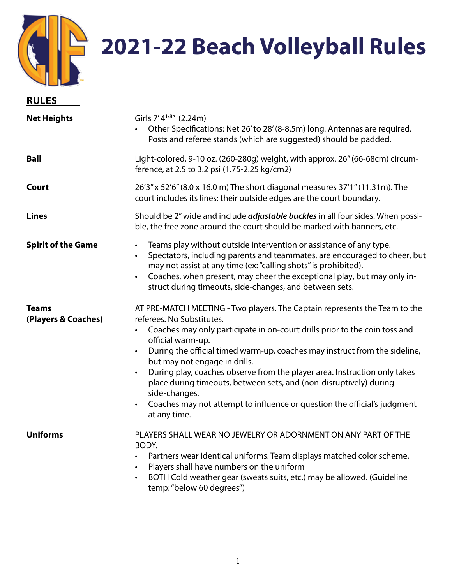

## **2021-22 Beach Volleyball Rules**

| <b>RULES</b>                        |                                                                                                                                                                                                                                                                                                                                                                                                                                                                                                                                                                                                                                  |
|-------------------------------------|----------------------------------------------------------------------------------------------------------------------------------------------------------------------------------------------------------------------------------------------------------------------------------------------------------------------------------------------------------------------------------------------------------------------------------------------------------------------------------------------------------------------------------------------------------------------------------------------------------------------------------|
| <b>Net Heights</b>                  | Girls 7'4 <sup>1/8"</sup> (2.24m)<br>Other Specifications: Net 26' to 28' (8-8.5m) long. Antennas are required.<br>Posts and referee stands (which are suggested) should be padded.                                                                                                                                                                                                                                                                                                                                                                                                                                              |
| <b>Ball</b>                         | Light-colored, 9-10 oz. (260-280g) weight, with approx. 26" (66-68cm) circum-<br>ference, at 2.5 to 3.2 psi (1.75-2.25 kg/cm2)                                                                                                                                                                                                                                                                                                                                                                                                                                                                                                   |
| Court                               | 26'3" x 52'6" (8.0 x 16.0 m) The short diagonal measures 37'1" (11.31 m). The<br>court includes its lines: their outside edges are the court boundary.                                                                                                                                                                                                                                                                                                                                                                                                                                                                           |
| <b>Lines</b>                        | Should be 2" wide and include <i>adjustable buckles</i> in all four sides. When possi-<br>ble, the free zone around the court should be marked with banners, etc.                                                                                                                                                                                                                                                                                                                                                                                                                                                                |
| <b>Spirit of the Game</b>           | Teams play without outside intervention or assistance of any type.<br>$\bullet$<br>Spectators, including parents and teammates, are encouraged to cheer, but<br>may not assist at any time (ex: "calling shots" is prohibited).<br>Coaches, when present, may cheer the exceptional play, but may only in-<br>struct during timeouts, side-changes, and between sets.                                                                                                                                                                                                                                                            |
| <b>Teams</b><br>(Players & Coaches) | AT PRE-MATCH MEETING - Two players. The Captain represents the Team to the<br>referees. No Substitutes.<br>Coaches may only participate in on-court drills prior to the coin toss and<br>official warm-up.<br>During the official timed warm-up, coaches may instruct from the sideline,<br>$\bullet$<br>but may not engage in drills.<br>During play, coaches observe from the player area. Instruction only takes<br>$\bullet$<br>place during timeouts, between sets, and (non-disruptively) during<br>side-changes.<br>Coaches may not attempt to influence or question the official's judgment<br>$\bullet$<br>at any time. |
| <b>Uniforms</b>                     | PLAYERS SHALL WEAR NO JEWELRY OR ADORNMENT ON ANY PART OF THE<br>BODY.<br>Partners wear identical uniforms. Team displays matched color scheme.<br>Players shall have numbers on the uniform<br>BOTH Cold weather gear (sweats suits, etc.) may be allowed. (Guideline<br>temp: "below 60 degrees")                                                                                                                                                                                                                                                                                                                              |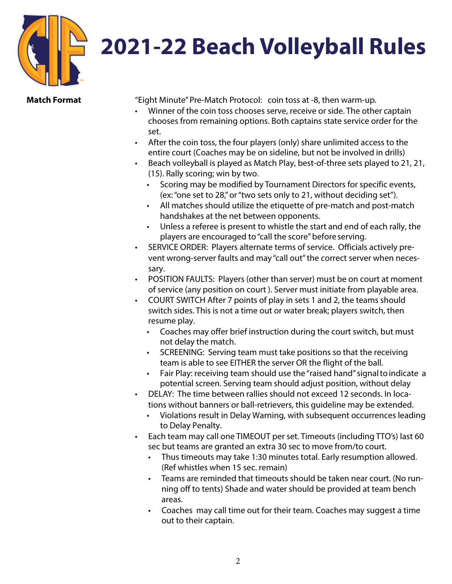

## **Match Format**

"Eight Minute" Pre-Match Protocol: coin toss at -8, then warm-up.

- Winner of the coin toss chooses serve, receive or side. The other captain chooses from remaining options. Both captains state service order for the set.
- After the coin toss, the four players (only) share unlimited access to the entire court (Coaches may be on sideline, but not be involved in drills)
- Beach volleyball is played as Match Play, best-of-three sets played to 21, 21, (15). Rally scoring; win by two.
	- Scoring may be modified by Tournament Directors for specific events, (ex: "one set to 28," or "two sets only to 21, without deciding set").
	- All matches should utilize the etiquette of pre-match and post-match handshakes at the net between opponents.
	- Unless a referee is present to whistle the start and end of each rally, the players are encouraged to "call the score" before serving.
- SERVICE ORDER: Players alternate terms of service. Officials actively prevent wrong-server faults and may "call out" the correct server when necessary.
- POSITION FAULTS: Players (other than server) must be on court at moment of service (any position on court ). Server must initiate from playable area.
- COURT SWITCH After 7 points of play in sets 1 and 2, the teams should switch sides. This is not a time out or water break; players switch, then resume play.
	- Coaches may offer brief instruction during the court switch, but must not delay the match.
	- SCREENING: Serving team must take positions so that the receiving team is able to see EITHER the server OR the flight of the ball.
	- Fair Play: receiving team should use the "raised hand" signal to indicate a potential screen. Serving team should adjust position, without delay
- DELAY: The time between rallies should not exceed 12 seconds. In locations without banners or ball-retrievers, this guideline may be extended.
	- Violations result in Delay Warning, with subsequent occurrences leading to Delay Penalty.
- Each team may call one TIMEOUT per set. Timeouts (including TTO's) last 60 sec but teams are granted an extra 30 sec to move from/to court.
	- Thus timeouts may take 1:30 minutes total. Early resumption allowed. (Ref whistles when 15 sec. remain)
	- Teams are reminded that timeouts should be taken near court. (No running off to tents) Shade and water should be provided at team bench areas.
	- Coaches may call time out for their team. Coaches may suggest a time out to their captain.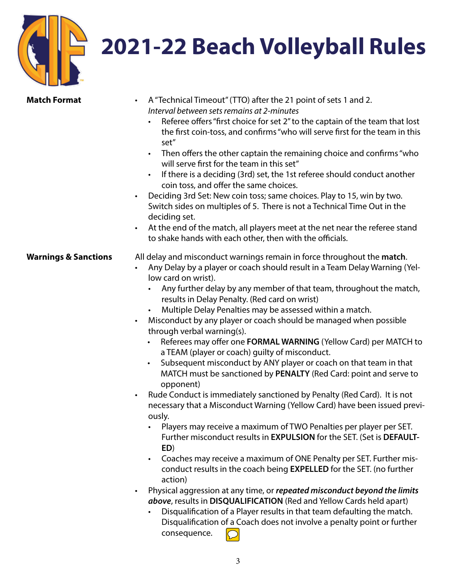## **2021-22 Beach Volleyball Rules**

| <b>Match Format</b>             | A "Technical Timeout" (TTO) after the 21 point of sets 1 and 2.<br>Interval between sets remains at 2-minutes<br>Referee offers "first choice for set 2" to the captain of the team that lost<br>the first coin-toss, and confirms "who will serve first for the team in this<br>set"<br>Then offers the other captain the remaining choice and confirms "who<br>$\bullet$<br>will serve first for the team in this set"<br>If there is a deciding (3rd) set, the 1st referee should conduct another<br>coin toss, and offer the same choices.<br>Deciding 3rd Set: New coin toss; same choices. Play to 15, win by two.<br>Switch sides on multiples of 5. There is not a Technical Time Out in the<br>deciding set.<br>At the end of the match, all players meet at the net near the referee stand<br>to shake hands with each other, then with the officials.                                                                                                                                                                                                                                                                                                                                                                                                                                                                                                                                                                                                                                                                                                                                                 |
|---------------------------------|------------------------------------------------------------------------------------------------------------------------------------------------------------------------------------------------------------------------------------------------------------------------------------------------------------------------------------------------------------------------------------------------------------------------------------------------------------------------------------------------------------------------------------------------------------------------------------------------------------------------------------------------------------------------------------------------------------------------------------------------------------------------------------------------------------------------------------------------------------------------------------------------------------------------------------------------------------------------------------------------------------------------------------------------------------------------------------------------------------------------------------------------------------------------------------------------------------------------------------------------------------------------------------------------------------------------------------------------------------------------------------------------------------------------------------------------------------------------------------------------------------------------------------------------------------------------------------------------------------------|
| <b>Warnings &amp; Sanctions</b> | All delay and misconduct warnings remain in force throughout the match.<br>Any Delay by a player or coach should result in a Team Delay Warning (Yel-<br>low card on wrist).<br>Any further delay by any member of that team, throughout the match,<br>results in Delay Penalty. (Red card on wrist)<br>Multiple Delay Penalties may be assessed within a match.<br>$\bullet$<br>Misconduct by any player or coach should be managed when possible<br>through verbal warning(s).<br>Referees may offer one FORMAL WARNING (Yellow Card) per MATCH to<br>a TEAM (player or coach) guilty of misconduct.<br>Subsequent misconduct by ANY player or coach on that team in that<br>$\bullet$<br>MATCH must be sanctioned by PENALTY (Red Card: point and serve to<br>opponent)<br>Rude Conduct is immediately sanctioned by Penalty (Red Card). It is not<br>$\bullet$<br>necessary that a Misconduct Warning (Yellow Card) have been issued previ-<br>ously.<br>Players may receive a maximum of TWO Penalties per player per SET.<br>Further misconduct results in EXPULSION for the SET. (Set is DEFAULT-<br>ED)<br>Coaches may receive a maximum of ONE Penalty per SET. Further mis-<br>$\bullet$<br>conduct results in the coach being EXPELLED for the SET. (no further<br>action)<br>Physical aggression at any time, or repeated misconduct beyond the limits<br>above, results in DISQUALIFICATION (Red and Yellow Cards held apart)<br>Disqualification of a Player results in that team defaulting the match.<br>Disqualification of a Coach does not involve a penalty point or further<br>consequence. |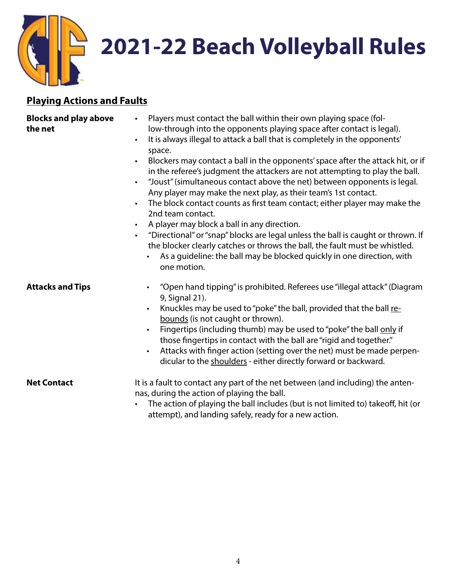

## **Playing Actions and Faults**

| <b>Blocks and play above</b><br>the net | Players must contact the ball within their own playing space (fol-<br>$\bullet$<br>low-through into the opponents playing space after contact is legal).<br>It is always illegal to attack a ball that is completely in the opponents'<br>$\bullet$<br>space.<br>Blockers may contact a ball in the opponents' space after the attack hit, or if<br>$\bullet$<br>in the referee's judgment the attackers are not attempting to play the ball.<br>"Joust" (simultaneous contact above the net) between opponents is legal.<br>$\bullet$<br>Any player may make the next play, as their team's 1st contact.<br>The block contact counts as first team contact; either player may make the<br>$\bullet$<br>2nd team contact.<br>A player may block a ball in any direction.<br>$\bullet$<br>"Directional" or "snap" blocks are legal unless the ball is caught or thrown. If<br>$\bullet$<br>the blocker clearly catches or throws the ball, the fault must be whistled.<br>As a guideline: the ball may be blocked quickly in one direction, with<br>one motion. |
|-----------------------------------------|----------------------------------------------------------------------------------------------------------------------------------------------------------------------------------------------------------------------------------------------------------------------------------------------------------------------------------------------------------------------------------------------------------------------------------------------------------------------------------------------------------------------------------------------------------------------------------------------------------------------------------------------------------------------------------------------------------------------------------------------------------------------------------------------------------------------------------------------------------------------------------------------------------------------------------------------------------------------------------------------------------------------------------------------------------------|
| <b>Attacks and Tips</b>                 | "Open hand tipping" is prohibited. Referees use "illegal attack" (Diagram<br>9, Signal 21).<br>Knuckles may be used to "poke" the ball, provided that the ball re-<br>bounds (is not caught or thrown).<br>Fingertips (including thumb) may be used to "poke" the ball only if<br>those fingertips in contact with the ball are "rigid and together."<br>Attacks with finger action (setting over the net) must be made perpen-<br>$\bullet$<br>dicular to the shoulders - either directly forward or backward.                                                                                                                                                                                                                                                                                                                                                                                                                                                                                                                                                |
| <b>Net Contact</b>                      | It is a fault to contact any part of the net between (and including) the anten-<br>nas, during the action of playing the ball.<br>The action of playing the ball includes (but is not limited to) takeoff, hit (or<br>attempt), and landing safely, ready for a new action.                                                                                                                                                                                                                                                                                                                                                                                                                                                                                                                                                                                                                                                                                                                                                                                    |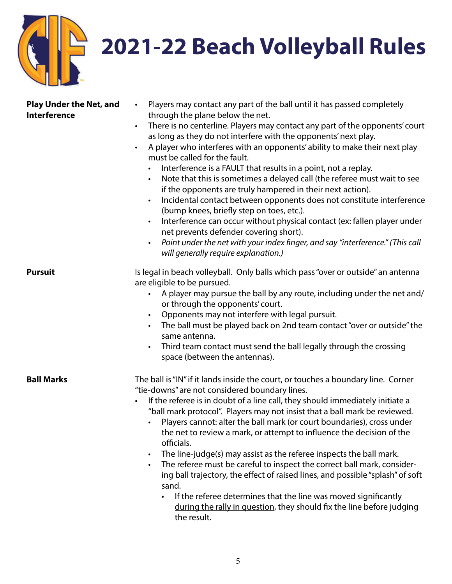

| <b>Play Under the Net, and</b><br><b>Interference</b> | Players may contact any part of the ball until it has passed completely<br>$\bullet$<br>through the plane below the net.<br>There is no centerline. Players may contact any part of the opponents' court<br>$\bullet$<br>as long as they do not interfere with the opponents' next play.<br>A player who interferes with an opponents' ability to make their next play<br>must be called for the fault.<br>Interference is a FAULT that results in a point, not a replay.<br>Note that this is sometimes a delayed call (the referee must wait to see<br>$\bullet$<br>if the opponents are truly hampered in their next action).<br>Incidental contact between opponents does not constitute interference<br>$\bullet$<br>(bump knees, briefly step on toes, etc.).<br>Interference can occur without physical contact (ex: fallen player under<br>$\bullet$<br>net prevents defender covering short).<br>Point under the net with your index finger, and say "interference." (This call<br>$\bullet$<br>will generally require explanation.) |
|-------------------------------------------------------|-----------------------------------------------------------------------------------------------------------------------------------------------------------------------------------------------------------------------------------------------------------------------------------------------------------------------------------------------------------------------------------------------------------------------------------------------------------------------------------------------------------------------------------------------------------------------------------------------------------------------------------------------------------------------------------------------------------------------------------------------------------------------------------------------------------------------------------------------------------------------------------------------------------------------------------------------------------------------------------------------------------------------------------------------|
| <b>Pursuit</b>                                        | Is legal in beach volleyball. Only balls which pass "over or outside" an antenna<br>are eligible to be pursued.<br>A player may pursue the ball by any route, including under the net and/<br>$\bullet$<br>or through the opponents' court.<br>Opponents may not interfere with legal pursuit.<br>$\bullet$<br>The ball must be played back on 2nd team contact "over or outside" the<br>same antenna.<br>Third team contact must send the ball legally through the crossing<br>$\bullet$<br>space (between the antennas).                                                                                                                                                                                                                                                                                                                                                                                                                                                                                                                    |
| <b>Ball Marks</b>                                     | The ball is "IN" if it lands inside the court, or touches a boundary line. Corner<br>"tie-downs" are not considered boundary lines.<br>If the referee is in doubt of a line call, they should immediately initiate a<br>"ball mark protocol". Players may not insist that a ball mark be reviewed.<br>Players cannot: alter the ball mark (or court boundaries), cross under<br>the net to review a mark, or attempt to influence the decision of the<br>officials.<br>The line-judge(s) may assist as the referee inspects the ball mark.<br>$\bullet$<br>The referee must be careful to inspect the correct ball mark, consider-<br>$\bullet$<br>ing ball trajectory, the effect of raised lines, and possible "splash" of soft<br>sand.<br>If the referee determines that the line was moved significantly<br>during the rally in question, they should fix the line before judging<br>the result.                                                                                                                                         |